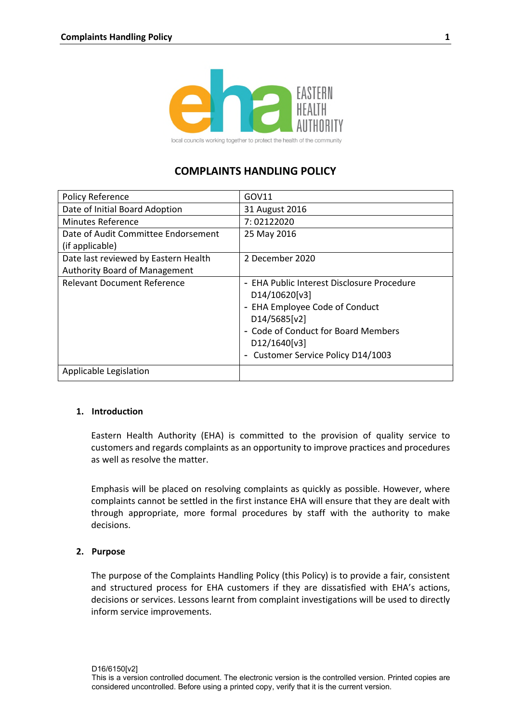

# **COMPLAINTS HANDLING POLICY**

| <b>Policy Reference</b>              | GOV11                                                                                                                                                                                                         |
|--------------------------------------|---------------------------------------------------------------------------------------------------------------------------------------------------------------------------------------------------------------|
| Date of Initial Board Adoption       | 31 August 2016                                                                                                                                                                                                |
| <b>Minutes Reference</b>             | 7:02122020                                                                                                                                                                                                    |
| Date of Audit Committee Endorsement  | 25 May 2016                                                                                                                                                                                                   |
| (if applicable)                      |                                                                                                                                                                                                               |
| Date last reviewed by Eastern Health | 2 December 2020                                                                                                                                                                                               |
| <b>Authority Board of Management</b> |                                                                                                                                                                                                               |
| <b>Relevant Document Reference</b>   | - EHA Public Interest Disclosure Procedure<br>D14/10620[v3]<br>- EHA Employee Code of Conduct<br>D14/5685[v2]<br>- Code of Conduct for Board Members<br>D12/1640[v3]<br>Customer Service Policy D14/1003<br>۰ |
| Applicable Legislation               |                                                                                                                                                                                                               |

### **1. Introduction**

Eastern Health Authority (EHA) is committed to the provision of quality service to customers and regards complaints as an opportunity to improve practices and procedures as well as resolve the matter.

Emphasis will be placed on resolving complaints as quickly as possible. However, where complaints cannot be settled in the first instance EHA will ensure that they are dealt with through appropriate, more formal procedures by staff with the authority to make decisions.

### **2. Purpose**

The purpose of the Complaints Handling Policy (this Policy) is to provide a fair, consistent and structured process for EHA customers if they are dissatisfied with EHA's actions, decisions or services. Lessons learnt from complaint investigations will be used to directly inform service improvements.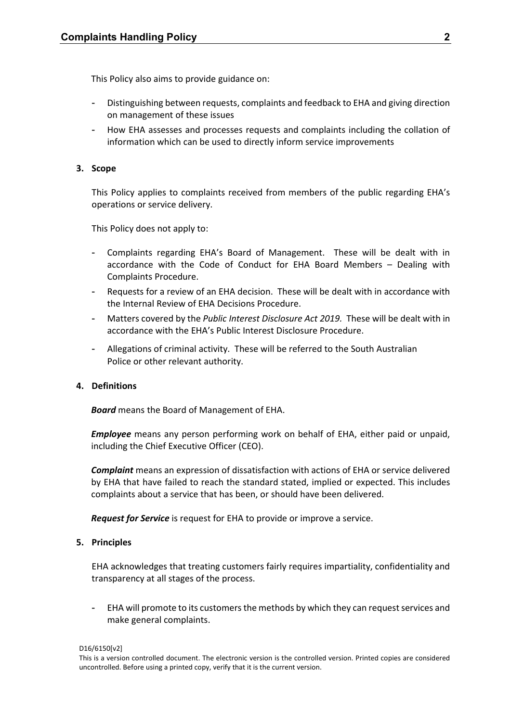This Policy also aims to provide guidance on:

- Distinguishing between requests, complaints and feedback to EHA and giving direction on management of these issues
- How EHA assesses and processes requests and complaints including the collation of information which can be used to directly inform service improvements

### **3. Scope**

This Policy applies to complaints received from members of the public regarding EHA's operations or service delivery.

This Policy does not apply to:

- Complaints regarding EHA's Board of Management. These will be dealt with in accordance with the Code of Conduct for EHA Board Members – Dealing with Complaints Procedure.
- Requests for a review of an EHA decision. These will be dealt with in accordance with the Internal Review of EHA Decisions Procedure.
- Matters covered by the *Public Interest Disclosure Act 2019.* These will be dealt with in accordance with the EHA's Public Interest Disclosure Procedure.
- Allegations of criminal activity. These will be referred to the South Australian Police or other relevant authority.

### **4. Definitions**

*Board* means the Board of Management of EHA.

*Employee* means any person performing work on behalf of EHA, either paid or unpaid, including the Chief Executive Officer (CEO).

*Complaint* means an expression of dissatisfaction with actions of EHA or service delivered by EHA that have failed to reach the standard stated, implied or expected. This includes complaints about a service that has been, or should have been delivered.

*Request for Service* is request for EHA to provide or improve a service.

### **5. Principles**

EHA acknowledges that treating customers fairly requires impartiality, confidentiality and transparency at all stages of the process.

EHA will promote to its customers the methods by which they can request services and make general complaints.

D16/6150[v2]

This is a version controlled document. The electronic version is the controlled version. Printed copies are considered uncontrolled. Before using a printed copy, verify that it is the current version.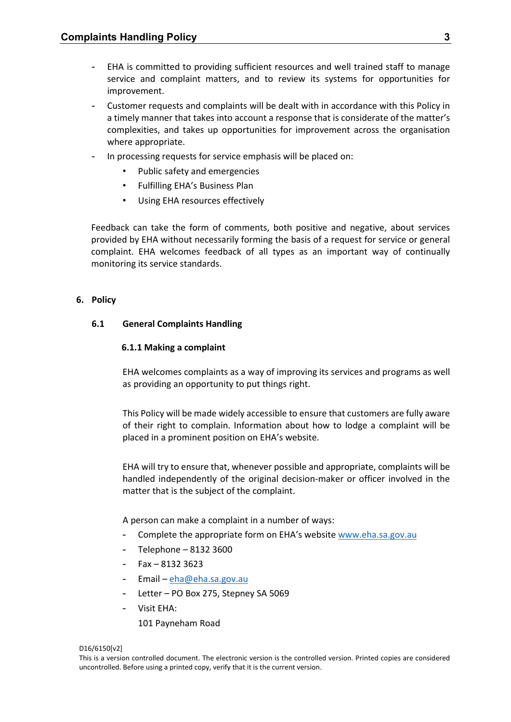- EHA is committed to providing sufficient resources and well trained staff to manage service and complaint matters, and to review its systems for opportunities for improvement.
- Customer requests and complaints will be dealt with in accordance with this Policy in a timely manner that takes into account a response that is considerate of the matter's complexities, and takes up opportunities for improvement across the organisation where appropriate.
- In processing requests for service emphasis will be placed on:
	- Public safety and emergencies
	- Fulfilling EHA's Business Plan
	- Using EHA resources effectively

Feedback can take the form of comments, both positive and negative, about services provided by EHA without necessarily forming the basis of a request for service or general complaint. EHA welcomes feedback of all types as an important way of continually monitoring its service standards.

### **6. Policy**

### **6.1 General Complaints Handling**

### **6.1.1 Making a complaint**

EHA welcomes complaints as a way of improving its services and programs as well as providing an opportunity to put things right.

This Policy will be made widely accessible to ensure that customers are fully aware of their right to complain. Information about how to lodge a complaint will be placed in a prominent position on EHA's website.

EHA will try to ensure that, whenever possible and appropriate, complaints will be handled independently of the original decision-maker or officer involved in the matter that is the subject of the complaint.

A person can make a complaint in a number of ways:

- Complete the appropriate form on EHA's website [www.eha.sa.gov.au](http://www.eha.sa.gov.au/)
- Telephone 8132 3600
- Fax 8132 3623
- Email – [eha@eha.sa.gov.au](mailto:eha@eha.sa.gov.au)
- Letter PO Box 275, Stepney SA 5069
- Visit EHA:

101 Payneham Road

#### D16/6150[v2]

This is a version controlled document. The electronic version is the controlled version. Printed copies are considered uncontrolled. Before using a printed copy, verify that it is the current version.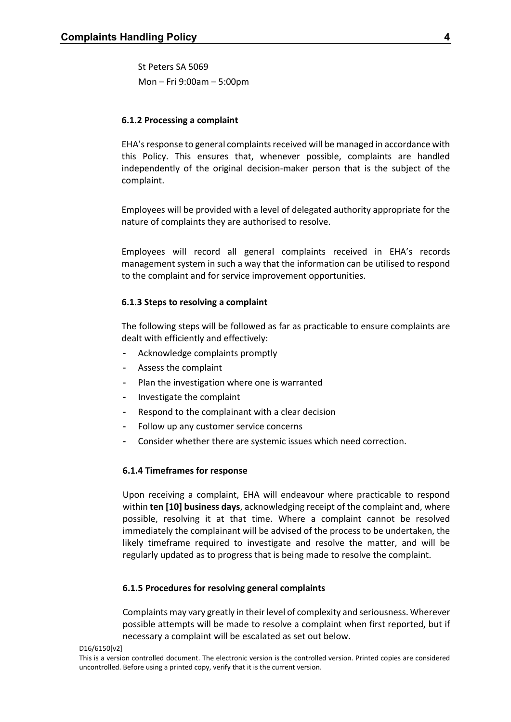St Peters SA 5069 Mon – Fri 9:00am – 5:00pm

### **6.1.2 Processing a complaint**

EHA's response to general complaints received will be managed in accordance with this Policy. This ensures that, whenever possible, complaints are handled independently of the original decision-maker person that is the subject of the complaint.

Employees will be provided with a level of delegated authority appropriate for the nature of complaints they are authorised to resolve.

Employees will record all general complaints received in EHA's records management system in such a way that the information can be utilised to respond to the complaint and for service improvement opportunities.

#### **6.1.3 Steps to resolving a complaint**

The following steps will be followed as far as practicable to ensure complaints are dealt with efficiently and effectively:

- Acknowledge complaints promptly
- Assess the complaint
- Plan the investigation where one is warranted
- Investigate the complaint
- Respond to the complainant with a clear decision
- Follow up any customer service concerns
- Consider whether there are systemic issues which need correction.

#### **6.1.4 Timeframes for response**

Upon receiving a complaint, EHA will endeavour where practicable to respond within **ten [10] business days**, acknowledging receipt of the complaint and, where possible, resolving it at that time. Where a complaint cannot be resolved immediately the complainant will be advised of the process to be undertaken, the likely timeframe required to investigate and resolve the matter, and will be regularly updated as to progress that is being made to resolve the complaint.

#### **6.1.5 Procedures for resolving general complaints**

Complaints may vary greatly in their level of complexity and seriousness. Wherever possible attempts will be made to resolve a complaint when first reported, but if necessary a complaint will be escalated as set out below.

D16/6150[v2]

This is a version controlled document. The electronic version is the controlled version. Printed copies are considered uncontrolled. Before using a printed copy, verify that it is the current version.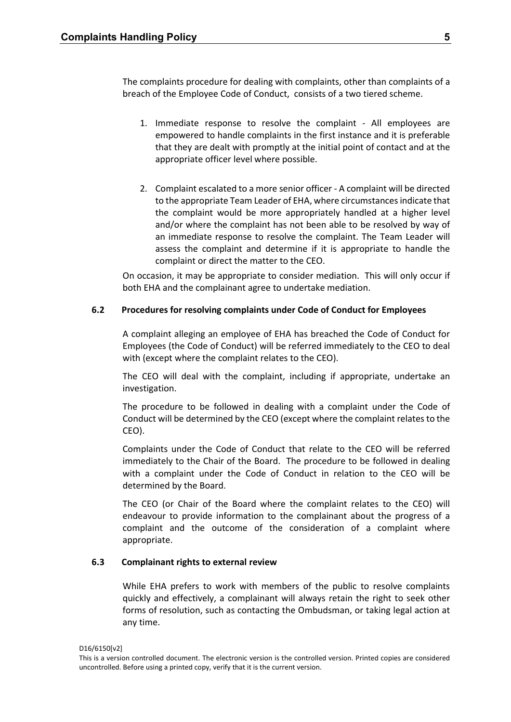The complaints procedure for dealing with complaints, other than complaints of a breach of the Employee Code of Conduct, consists of a two tiered scheme.

- 1. Immediate response to resolve the complaint All employees are empowered to handle complaints in the first instance and it is preferable that they are dealt with promptly at the initial point of contact and at the appropriate officer level where possible.
- 2. Complaint escalated to a more senior officer A complaint will be directed to the appropriate Team Leader of EHA, where circumstances indicate that the complaint would be more appropriately handled at a higher level and/or where the complaint has not been able to be resolved by way of an immediate response to resolve the complaint. The Team Leader will assess the complaint and determine if it is appropriate to handle the complaint or direct the matter to the CEO.

On occasion, it may be appropriate to consider mediation. This will only occur if both EHA and the complainant agree to undertake mediation.

### **6.2 Procedures for resolving complaints under Code of Conduct for Employees**

A complaint alleging an employee of EHA has breached the Code of Conduct for Employees (the Code of Conduct) will be referred immediately to the CEO to deal with (except where the complaint relates to the CEO).

The CEO will deal with the complaint, including if appropriate, undertake an investigation.

The procedure to be followed in dealing with a complaint under the Code of Conduct will be determined by the CEO (except where the complaint relates to the CEO).

Complaints under the Code of Conduct that relate to the CEO will be referred immediately to the Chair of the Board. The procedure to be followed in dealing with a complaint under the Code of Conduct in relation to the CEO will be determined by the Board.

The CEO (or Chair of the Board where the complaint relates to the CEO) will endeavour to provide information to the complainant about the progress of a complaint and the outcome of the consideration of a complaint where appropriate.

### **6.3 Complainant rights to external review**

While EHA prefers to work with members of the public to resolve complaints quickly and effectively, a complainant will always retain the right to seek other forms of resolution, such as contacting the Ombudsman, or taking legal action at any time.

This is a version controlled document. The electronic version is the controlled version. Printed copies are considered uncontrolled. Before using a printed copy, verify that it is the current version.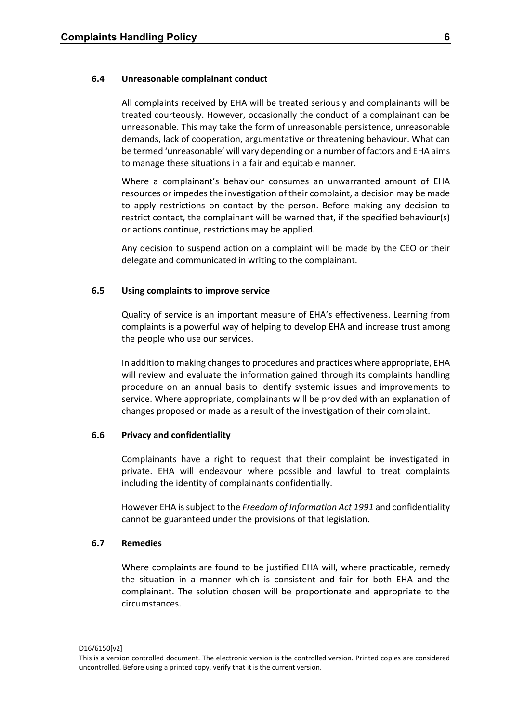#### **6.4 Unreasonable complainant conduct**

All complaints received by EHA will be treated seriously and complainants will be treated courteously. However, occasionally the conduct of a complainant can be unreasonable. This may take the form of unreasonable persistence, unreasonable demands, lack of cooperation, argumentative or threatening behaviour. What can be termed 'unreasonable' will vary depending on a number of factors and EHA aims to manage these situations in a fair and equitable manner.

Where a complainant's behaviour consumes an unwarranted amount of EHA resources or impedes the investigation of their complaint, a decision may be made to apply restrictions on contact by the person. Before making any decision to restrict contact, the complainant will be warned that, if the specified behaviour(s) or actions continue, restrictions may be applied.

Any decision to suspend action on a complaint will be made by the CEO or their delegate and communicated in writing to the complainant.

#### **6.5 Using complaints to improve service**

Quality of service is an important measure of EHA's effectiveness. Learning from complaints is a powerful way of helping to develop EHA and increase trust among the people who use our services.

In addition to making changes to procedures and practices where appropriate, EHA will review and evaluate the information gained through its complaints handling procedure on an annual basis to identify systemic issues and improvements to service. Where appropriate, complainants will be provided with an explanation of changes proposed or made as a result of the investigation of their complaint.

### **6.6 Privacy and confidentiality**

Complainants have a right to request that their complaint be investigated in private. EHA will endeavour where possible and lawful to treat complaints including the identity of complainants confidentially.

However EHA is subject to the *Freedom of Information Act 1991* and confidentiality cannot be guaranteed under the provisions of that legislation.

### **6.7 Remedies**

Where complaints are found to be justified EHA will, where practicable, remedy the situation in a manner which is consistent and fair for both EHA and the complainant. The solution chosen will be proportionate and appropriate to the circumstances.

D16/6150[v2]

This is a version controlled document. The electronic version is the controlled version. Printed copies are considered uncontrolled. Before using a printed copy, verify that it is the current version.